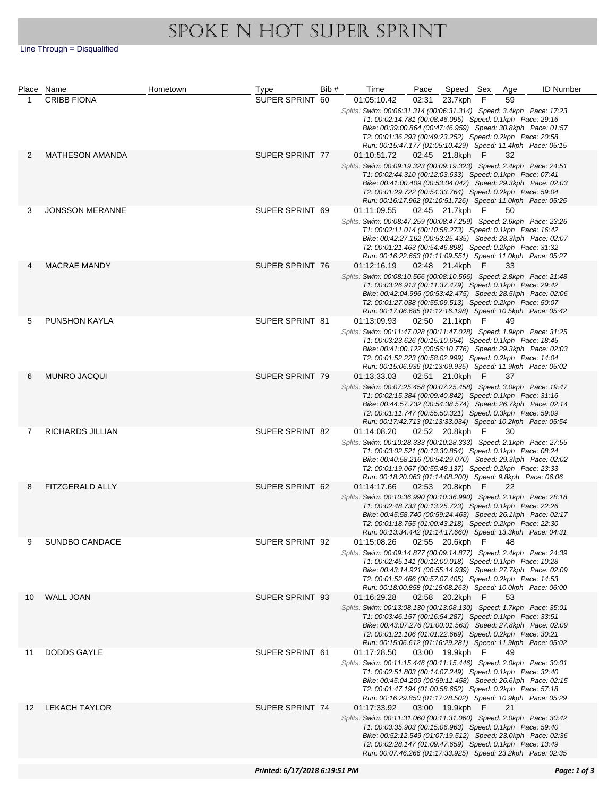## SPOKE N HOT SUPER SPRINT

Line Through = Disqualified

|    | Place Name              | Hometown | Type            | Bib# | Time                                                                                                                             | Pace  | Speed Sex       |   | Age | <b>ID Number</b> |
|----|-------------------------|----------|-----------------|------|----------------------------------------------------------------------------------------------------------------------------------|-------|-----------------|---|-----|------------------|
| 1  | <b>CRIBB FIONA</b>      |          | SUPER SPRINT 60 |      | 01:05:10.42                                                                                                                      | 02:31 | 23.7kph         | F | 59  |                  |
|    |                         |          |                 |      | Splits: Swim: 00:06:31.314 (00:06:31.314) Speed: 3.4kph Pace: 17:23                                                              |       |                 |   |     |                  |
|    |                         |          |                 |      | T1: 00:02:14.781 (00:08:46.095) Speed: 0.1kph Pace: 29:16                                                                        |       |                 |   |     |                  |
|    |                         |          |                 |      | Bike: 00:39:00.864 (00:47:46.959) Speed: 30.8kph Pace: 01:57<br>T2: 00:01:36.293 (00:49:23.252) Speed: 0.2kph Pace: 20:58        |       |                 |   |     |                  |
|    |                         |          |                 |      | Run: 00:15:47.177 (01:05:10.429) Speed: 11.4kph Pace: 05:15                                                                      |       |                 |   |     |                  |
| 2  | <b>MATHESON AMANDA</b>  |          | SUPER SPRINT 77 |      | 01:10:51.72                                                                                                                      |       | 02:45 21.8kph F |   | 32  |                  |
|    |                         |          |                 |      | Splits: Swim: 00:09:19.323 (00:09:19.323) Speed: 2.4kph Pace: 24:51                                                              |       |                 |   |     |                  |
|    |                         |          |                 |      | T1: 00:02:44.310 (00:12:03.633) Speed: 0.1kph Pace: 07:41                                                                        |       |                 |   |     |                  |
|    |                         |          |                 |      | Bike: 00:41:00.409 (00:53:04.042) Speed: 29.3kph Pace: 02:03                                                                     |       |                 |   |     |                  |
|    |                         |          |                 |      | T2: 00:01:29.722 (00:54:33.764) Speed: 0.2kph Pace: 59:04                                                                        |       |                 |   |     |                  |
|    | <b>JONSSON MERANNE</b>  |          |                 |      | Run: 00:16:17.962 (01:10:51.726) Speed: 11.0kph Pace: 05:25                                                                      |       |                 |   |     |                  |
| 3  |                         |          | SUPER SPRINT 69 |      | 01:11:09.55<br>Splits: Swim: 00:08:47.259 (00:08:47.259) Speed: 2.6kph Pace: 23:26                                               |       | 02:45 21.7kph F |   | 50  |                  |
|    |                         |          |                 |      | T1: 00:02:11.014 (00:10:58.273) Speed: 0.1kph Pace: 16:42                                                                        |       |                 |   |     |                  |
|    |                         |          |                 |      | Bike: 00:42:27.162 (00:53:25.435) Speed: 28.3kph Pace: 02:07                                                                     |       |                 |   |     |                  |
|    |                         |          |                 |      | T2: 00:01:21.463 (00:54:46.898) Speed: 0.2kph Pace: 31:32                                                                        |       |                 |   |     |                  |
|    |                         |          |                 |      | Run: 00:16:22.653 (01:11:09.551) Speed: 11.0kph Pace: 05:27                                                                      |       |                 |   |     |                  |
|    | <b>MACRAE MANDY</b>     |          | SUPER SPRINT 76 |      | 01:12:16.19                                                                                                                      |       | 02:48 21.4kph F |   | 33  |                  |
|    |                         |          |                 |      | Splits: Swim: 00:08:10.566 (00:08:10.566) Speed: 2.8kph Pace: 21:48<br>T1: 00:03:26.913 (00:11:37.479) Speed: 0.1kph Pace: 29:42 |       |                 |   |     |                  |
|    |                         |          |                 |      | Bike: 00:42:04.996 (00:53:42.475) Speed: 28.5kph Pace: 02:06                                                                     |       |                 |   |     |                  |
|    |                         |          |                 |      | T2: 00:01:27.038 (00:55:09.513) Speed: 0.2kph Pace: 50:07                                                                        |       |                 |   |     |                  |
|    |                         |          |                 |      | Run: 00:17:06.685 (01:12:16.198) Speed: 10.5kph Pace: 05:42                                                                      |       |                 |   |     |                  |
| 5  | <b>PUNSHON KAYLA</b>    |          | SUPER SPRINT 81 |      | 01:13:09.93                                                                                                                      |       | 02:50 21.1kph F |   | 49  |                  |
|    |                         |          |                 |      | Splits: Swim: 00:11:47.028 (00:11:47.028) Speed: 1.9kph Pace: 31:25<br>T1: 00:03:23.626 (00:15:10.654) Speed: 0.1kph Pace: 18:45 |       |                 |   |     |                  |
|    |                         |          |                 |      | Bike: 00:41:00.122 (00:56:10.776) Speed: 29.3kph Pace: 02:03                                                                     |       |                 |   |     |                  |
|    |                         |          |                 |      | T2: 00:01:52.223 (00:58:02.999) Speed: 0.2kph Pace: 14:04                                                                        |       |                 |   |     |                  |
|    |                         |          |                 |      | Run: 00:15:06.936 (01:13:09.935) Speed: 11.9kph Pace: 05:02                                                                      |       |                 |   |     |                  |
| 6  | <b>MUNRO JACQUI</b>     |          | SUPER SPRINT 79 |      | 01:13:33.03                                                                                                                      |       | 02:51 21.0kph F |   | 37  |                  |
|    |                         |          |                 |      | Splits: Swim: 00:07:25.458 (00:07:25.458) Speed: 3.0kph Pace: 19:47<br>T1: 00:02:15.384 (00:09:40.842) Speed: 0.1kph Pace: 31:16 |       |                 |   |     |                  |
|    |                         |          |                 |      | Bike: 00:44:57.732 (00:54:38.574) Speed: 26.7kph Pace: 02:14                                                                     |       |                 |   |     |                  |
|    |                         |          |                 |      | T2: 00:01:11.747 (00:55:50.321) Speed: 0.3kph Pace: 59:09                                                                        |       |                 |   |     |                  |
|    |                         |          |                 |      | Run: 00:17:42.713 (01:13:33.034) Speed: 10.2kph Pace: 05:54                                                                      |       |                 |   |     |                  |
| 7  | <b>RICHARDS JILLIAN</b> |          | SUPER SPRINT 82 |      | 01:14:08.20                                                                                                                      |       | 02:52 20.8kph F |   | 30  |                  |
|    |                         |          |                 |      | Splits: Swim: 00:10:28.333 (00:10:28.333) Speed: 2.1kph Pace: 27:55<br>T1: 00:03:02.521 (00:13:30.854) Speed: 0.1kph Pace: 08:24 |       |                 |   |     |                  |
|    |                         |          |                 |      | Bike: 00:40:58.216 (00:54:29.070) Speed: 29.3kph Pace: 02:02                                                                     |       |                 |   |     |                  |
|    |                         |          |                 |      | T2: 00:01:19.067 (00:55:48.137) Speed: 0.2kph Pace: 23:33                                                                        |       |                 |   |     |                  |
|    |                         |          |                 |      | Run: 00:18:20.063 (01:14:08.200) Speed: 9.8kph Pace: 06:06                                                                       |       |                 |   |     |                  |
| 8  | FITZGERALD ALLY         |          | SUPER SPRINT 62 |      | 01:14:17.66                                                                                                                      |       | 02:53 20.8kph F |   | 22  |                  |
|    |                         |          |                 |      | Splits: Swim: 00:10:36.990 (00:10:36.990) Speed: 2.1kph Pace: 28:18<br>T1: 00:02:48.733 (00:13:25.723) Speed: 0.1kph Pace: 22:26 |       |                 |   |     |                  |
|    |                         |          |                 |      | Bike: 00:45:58.740 (00:59:24.463) Speed: 26.1kph Pace: 02:17                                                                     |       |                 |   |     |                  |
|    |                         |          |                 |      | T2: 00:01:18.755 (01:00:43.218) Speed: 0.2kph Pace: 22:30                                                                        |       |                 |   |     |                  |
|    |                         |          |                 |      | Run: 00:13:34.442 (01:14:17.660) Speed: 13.3kph Pace: 04:31                                                                      |       |                 |   |     |                  |
| 9  | SUNDBO CANDACE          |          | SUPER SPRINT 92 |      | 01:15:08.26                                                                                                                      |       | 02:55 20.6kph F |   | 48  |                  |
|    |                         |          |                 |      | Splits: Swim: 00:09:14.877 (00:09:14.877) Speed: 2.4kph Pace: 24:39<br>T1: 00:02:45.141 (00:12:00.018) Speed: 0.1kph Pace: 10:28 |       |                 |   |     |                  |
|    |                         |          |                 |      | Bike: 00:43:14.921 (00:55:14.939) Speed: 27.7kph Pace: 02:09                                                                     |       |                 |   |     |                  |
|    |                         |          |                 |      | T2: 00:01:52.466 (00:57:07.405) Speed: 0.2kph Pace: 14:53                                                                        |       |                 |   |     |                  |
|    |                         |          |                 |      | Run: 00:18:00.858 (01:15:08.263) Speed: 10.0kph Pace: 06:00                                                                      |       |                 |   |     |                  |
| 10 | <b>WALL JOAN</b>        |          | SUPER SPRINT 93 |      | 01:16:29.28                                                                                                                      |       | 02:58 20.2kph F |   | 53  |                  |
|    |                         |          |                 |      | Splits: Swim: 00:13:08.130 (00:13:08.130) Speed: 1.7kph Pace: 35:01<br>T1: 00:03:46.157 (00:16:54.287) Speed: 0.1kph Pace: 33:51 |       |                 |   |     |                  |
|    |                         |          |                 |      | Bike: 00:43:07.276 (01:00:01.563) Speed: 27.8kph Pace: 02:09                                                                     |       |                 |   |     |                  |
|    |                         |          |                 |      | T2: 00:01:21.106 (01:01:22.669) Speed: 0.2kph Pace: 30:21                                                                        |       |                 |   |     |                  |
|    |                         |          |                 |      | Run: 00:15:06.612 (01:16:29.281) Speed: 11.9kph Pace: 05:02                                                                      |       |                 |   |     |                  |
| 11 | DODDS GAYLE             |          | SUPER SPRINT 61 |      | 01:17:28.50                                                                                                                      |       | 03:00 19.9kph F |   | 49  |                  |
|    |                         |          |                 |      | Splits: Swim: 00:11:15.446 (00:11:15.446) Speed: 2.0kph Pace: 30:01                                                              |       |                 |   |     |                  |
|    |                         |          |                 |      | T1: 00:02:51.803 (00:14:07.249) Speed: 0.1kph Pace: 32:40<br>Bike: 00:45:04.209 (00:59:11.458) Speed: 26.6kph Pace: 02:15        |       |                 |   |     |                  |
|    |                         |          |                 |      | T2: 00:01:47.194 (01:00:58.652) Speed: 0.2kph Pace: 57:18                                                                        |       |                 |   |     |                  |
|    |                         |          |                 |      | Run: 00:16:29.850 (01:17:28.502) Speed: 10.9kph Pace: 05:29                                                                      |       |                 |   |     |                  |
| 12 | <b>LEKACH TAYLOR</b>    |          | SUPER SPRINT 74 |      | 01:17:33.92                                                                                                                      |       | 03:00 19.9kph F |   | 21  |                  |
|    |                         |          |                 |      | Splits: Swim: 00:11:31.060 (00:11:31.060) Speed: 2.0kph Pace: 30:42                                                              |       |                 |   |     |                  |
|    |                         |          |                 |      | T1: 00:03:35.903 (00:15:06.963) Speed: 0.1kph Pace: 59:40<br>Bike: 00:52:12.549 (01:07:19.512) Speed: 23.0kph Pace: 02:36        |       |                 |   |     |                  |
|    |                         |          |                 |      | T2: 00:02:28.147 (01:09:47.659) Speed: 0.1kph Pace: 13:49                                                                        |       |                 |   |     |                  |
|    |                         |          |                 |      | Run: 00:07:46.266 (01:17:33.925) Speed: 23.2kph Pace: 02:35                                                                      |       |                 |   |     |                  |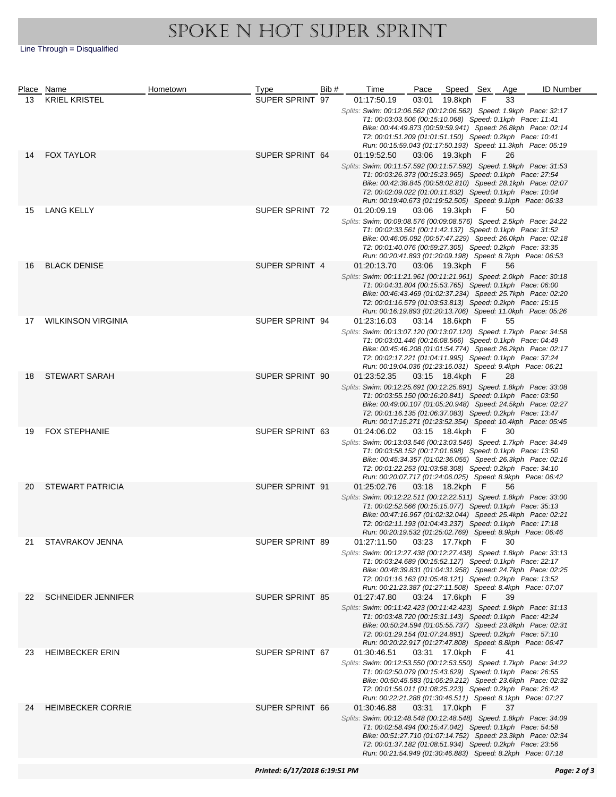## SPOKE N HOT SUPER SPRINT

Line Through = Disqualified

|    | Place Name                | Hometown | Type            | Bib#                                                                                                                                                                                                                                                                                                                         | Time                                                                                                                                                                                                                                                                                                                         | Pace  | Speed Sex       |   | Age | <b>ID Number</b> |
|----|---------------------------|----------|-----------------|------------------------------------------------------------------------------------------------------------------------------------------------------------------------------------------------------------------------------------------------------------------------------------------------------------------------------|------------------------------------------------------------------------------------------------------------------------------------------------------------------------------------------------------------------------------------------------------------------------------------------------------------------------------|-------|-----------------|---|-----|------------------|
| 13 | <b>KRIEL KRISTEL</b>      |          | SUPER SPRINT 97 |                                                                                                                                                                                                                                                                                                                              | 01:17:50.19                                                                                                                                                                                                                                                                                                                  | 03:01 | 19.8kph         | F | 33  |                  |
|    |                           |          |                 |                                                                                                                                                                                                                                                                                                                              | Splits: Swim: 00:12:06.562 (00:12:06.562) Speed: 1.9kph Pace: 32:17<br>T1: 00:03:03.506 (00:15:10.068) Speed: 0.1kph Pace: 11:41<br>Bike: 00:44:49.873 (00:59:59.941) Speed: 26.8kph Pace: 02:14<br>T2: 00:01:51.209 (01:01:51.150) Speed: 0.2kph Pace: 10:41<br>Run: 00:15:59.043 (01:17:50.193) Speed: 11.3kph Pace: 05:19 |       |                 |   |     |                  |
| 14 | <b>FOX TAYLOR</b>         |          | SUPER SPRINT 64 |                                                                                                                                                                                                                                                                                                                              | 01:19:52.50<br>Splits: Swim: 00:11:57.592 (00:11:57.592) Speed: 1.9kph Pace: 31:53                                                                                                                                                                                                                                           |       | 03:06 19.3kph F |   | 26  |                  |
|    |                           |          |                 |                                                                                                                                                                                                                                                                                                                              | T1: 00:03:26.373 (00:15:23.965) Speed: 0.1kph Pace: 27:54<br>Bike: 00:42:38.845 (00:58:02.810) Speed: 28.1kph Pace: 02:07<br>T2: 00:02:09.022 (01:00:11.832) Speed: 0.1kph Pace: 10:04<br>Run: 00:19:40.673 (01:19:52.505) Speed: 9.1kph Pace: 06:33                                                                         |       |                 |   |     |                  |
| 15 | LANG KELLY                |          | SUPER SPRINT 72 |                                                                                                                                                                                                                                                                                                                              | 01:20:09.19<br>Splits: Swim: 00:09:08.576 (00:09:08.576) Speed: 2.5kph Pace: 24:22<br>T1: 00:02:33.561 (00:11:42.137) Speed: 0.1kph Pace: 31:52                                                                                                                                                                              |       | 03:06 19.3kph F |   | 50  |                  |
|    |                           |          |                 |                                                                                                                                                                                                                                                                                                                              | Bike: 00:46:05.092 (00:57:47.229) Speed: 26.0kph Pace: 02:18<br>T2: 00:01:40.076 (00:59:27.305) Speed: 0.2kph Pace: 33:35<br>Run: 00:20:41.893 (01:20:09.198) Speed: 8.7kph Pace: 06:53                                                                                                                                      |       |                 |   |     |                  |
| 16 | <b>BLACK DENISE</b>       |          | SUPER SPRINT 4  |                                                                                                                                                                                                                                                                                                                              | 01:20:13.70                                                                                                                                                                                                                                                                                                                  |       | 03:06 19.3kph F |   | 56  |                  |
|    |                           |          |                 |                                                                                                                                                                                                                                                                                                                              | Splits: Swim: 00:11:21.961 (00:11:21.961) Speed: 2.0kph Pace: 30:18<br>T1: 00:04:31.804 (00:15:53.765) Speed: 0.1kph Pace: 06:00<br>Bike: 00:46:43.469 (01:02:37.234) Speed: 25.7kph Pace: 02:20<br>T2: 00:01:16.579 (01:03:53.813) Speed: 0.2kph Pace: 15:15<br>Run: 00:16:19.893 (01:20:13.706) Speed: 11.0kph Pace: 05:26 |       |                 |   |     |                  |
| 17 | <b>WILKINSON VIRGINIA</b> |          | SUPER SPRINT 94 |                                                                                                                                                                                                                                                                                                                              | 01:23:16.03                                                                                                                                                                                                                                                                                                                  |       | 03:14 18.6kph F |   | 55  |                  |
|    |                           |          |                 |                                                                                                                                                                                                                                                                                                                              | Splits: Swim: 00:13:07.120 (00:13:07.120) Speed: 1.7kph Pace: 34:58<br>T1: 00:03:01.446 (00:16:08.566) Speed: 0.1kph Pace: 04:49<br>Bike: 00:45:46.208 (01:01:54.774) Speed: 26.2kph Pace: 02:17<br>T2: 00:02:17.221 (01:04:11.995) Speed: 0.1kph Pace: 37:24<br>Run: 00:19:04.036 (01:23:16.031) Speed: 9.4kph Pace: 06:21  |       |                 |   |     |                  |
| 18 | <b>STEWART SARAH</b>      |          | SUPER SPRINT 90 |                                                                                                                                                                                                                                                                                                                              | 01:23:52.35                                                                                                                                                                                                                                                                                                                  |       | 03:15 18.4kph F |   | 28  |                  |
|    |                           |          |                 | Splits: Swim: 00:12:25.691 (00:12:25.691) Speed: 1.8kph Pace: 33:08<br>T1: 00:03:55.150 (00:16:20.841) Speed: 0.1kph Pace: 03:50<br>Bike: 00:49:00.107 (01:05:20.948) Speed: 24.5kph Pace: 02:27<br>T2: 00:01:16.135 (01:06:37.083) Speed: 0.2kph Pace: 13:47<br>Run: 00:17:15.271 (01:23:52.354) Speed: 10.4kph Pace: 05:45 |                                                                                                                                                                                                                                                                                                                              |       |                 |   |     |                  |
| 19 | <b>FOX STEPHANIE</b>      |          | SUPER SPRINT 63 |                                                                                                                                                                                                                                                                                                                              | 01:24:06.02                                                                                                                                                                                                                                                                                                                  |       | 03:15 18.4kph F |   | 30  |                  |
|    |                           |          |                 |                                                                                                                                                                                                                                                                                                                              | Splits: Swim: 00:13:03.546 (00:13:03.546) Speed: 1.7kph Pace: 34:49<br>T1: 00:03:58.152 (00:17:01.698) Speed: 0.1kph Pace: 13:50<br>Bike: 00:45:34.357 (01:02:36.055) Speed: 26.3kph Pace: 02:16<br>T2: 00:01:22.253 (01:03:58.308) Speed: 0.2kph Pace: 34:10<br>Run: 00:20:07.717 (01:24:06.025) Speed: 8.9kph Pace: 06:42  |       |                 |   |     |                  |
| 20 | <b>STEWART PATRICIA</b>   |          | SUPER SPRINT 91 |                                                                                                                                                                                                                                                                                                                              | 01:25:02.76                                                                                                                                                                                                                                                                                                                  |       | 03:18 18.2kph F |   | 56  |                  |
|    |                           |          |                 |                                                                                                                                                                                                                                                                                                                              | Splits: Swim: 00:12:22.511 (00:12:22.511) Speed: 1.8kph Pace: 33:00<br>T1: 00:02:52.566 (00:15:15.077) Speed: 0.1kph Pace: 35:13<br>Bike: 00:47:16.967 (01:02:32.044) Speed: 25.4kph Pace: 02:21<br>T2: 00:02:11.193 (01:04:43.237) Speed: 0.1kph Pace: 17:18<br>Run: 00:20:19.532 (01:25:02.769) Speed: 8.9kph Pace: 06:46  |       |                 |   |     |                  |
| 21 | STAVRAKOV JENNA           |          | SUPER SPRINT 89 |                                                                                                                                                                                                                                                                                                                              | 01:27:11.50                                                                                                                                                                                                                                                                                                                  |       | 03:23 17.7kph F |   | 30  |                  |
|    |                           |          |                 |                                                                                                                                                                                                                                                                                                                              | Splits: Swim: 00:12:27.438 (00:12:27.438) Speed: 1.8kph Pace: 33:13<br>T1: 00:03:24.689 (00:15:52.127) Speed: 0.1kph Pace: 22:17<br>Bike: 00:48:39.831 (01:04:31.958) Speed: 24.7kph Pace: 02:25<br>T2: 00:01:16.163 (01:05:48.121) Speed: 0.2kph Pace: 13:52                                                                |       |                 |   |     |                  |
| 22 | <b>SCHNEIDER JENNIFER</b> |          | SUPER SPRINT 85 |                                                                                                                                                                                                                                                                                                                              | Run: 00:21:23.387 (01:27:11.508) Speed: 8.4kph Pace: 07:07<br>01:27:47.80                                                                                                                                                                                                                                                    |       | 03:24 17.6kph F |   | 39  |                  |
|    |                           |          |                 |                                                                                                                                                                                                                                                                                                                              | Splits: Swim: 00:11:42.423 (00:11:42.423) Speed: 1.9kph Pace: 31:13<br>T1: 00:03:48.720 (00:15:31.143) Speed: 0.1kph Pace: 42:24<br>Bike: 00:50:24.594 (01:05:55.737) Speed: 23.8kph Pace: 02:31<br>T2: 00:01:29.154 (01:07:24.891) Speed: 0.2kph Pace: 57:10<br>Run: 00:20:22.917 (01:27:47.808) Speed: 8.8kph Pace: 06:47  |       |                 |   |     |                  |
| 23 | <b>HEIMBECKER ERIN</b>    |          | SUPER SPRINT 67 |                                                                                                                                                                                                                                                                                                                              | 01:30:46.51                                                                                                                                                                                                                                                                                                                  |       | 03:31 17.0kph F |   | 41  |                  |
|    |                           |          |                 |                                                                                                                                                                                                                                                                                                                              | Splits: Swim: 00:12:53.550 (00:12:53.550) Speed: 1.7kph Pace: 34:22<br>T1: 00:02:50.079 (00:15:43.629) Speed: 0.1kph Pace: 26:55<br>Bike: 00:50:45.583 (01:06:29.212) Speed: 23.6kph Pace: 02:32<br>T2: 00:01:56.011 (01:08:25.223) Speed: 0.2kph Pace: 26:42<br>Run: 00:22:21.288 (01:30:46.511) Speed: 8.1kph Pace: 07:27  |       |                 |   |     |                  |
| 24 | <b>HEIMBECKER CORRIE</b>  |          | SUPER SPRINT 66 |                                                                                                                                                                                                                                                                                                                              | 01:30:46.88                                                                                                                                                                                                                                                                                                                  |       | 03:31 17.0kph F |   | 37  |                  |
|    |                           |          |                 |                                                                                                                                                                                                                                                                                                                              | Splits: Swim: 00:12:48.548 (00:12:48.548) Speed: 1.8kph Pace: 34:09<br>T1: 00:02:58.494 (00:15:47.042) Speed: 0.1kph Pace: 54:58<br>Bike: 00:51:27.710 (01:07:14.752) Speed: 23.3kph Pace: 02:34<br>T2: 00:01:37.182 (01:08:51.934) Speed: 0.2kph Pace: 23:56                                                                |       |                 |   |     |                  |
|    |                           |          |                 |                                                                                                                                                                                                                                                                                                                              | Run: 00:21:54.949 (01:30:46.883) Speed: 8.2kph Pace: 07:18                                                                                                                                                                                                                                                                   |       |                 |   |     |                  |